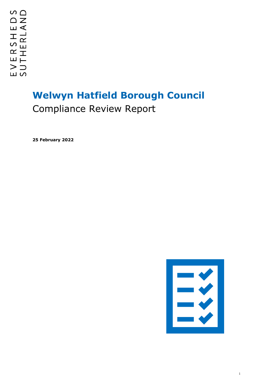# **Welwyn Hatfield Borough Council** Compliance Review Report

**25 February 2022**



1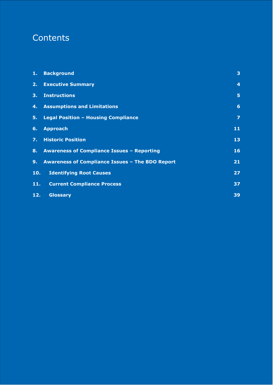## **Contents**

| 1.   | <b>Background</b>                                 | 3                |
|------|---------------------------------------------------|------------------|
| 2.   | <b>Executive Summary</b>                          | $\boldsymbol{4}$ |
| 3.   | <b>Instructions</b>                               | 5                |
| 4.   | <b>Assumptions and Limitations</b>                | 6                |
| 5.   | <b>Legal Position - Housing Compliance</b>        | $\overline{z}$   |
| 6.   | <b>Approach</b>                                   | 11               |
| 7. . | <b>Historic Position</b>                          | 13               |
| 8.   | <b>Awareness of Compliance Issues - Reporting</b> | 16               |
| 9.   | Awareness of Compliance Issues - The BDO Report   | 21               |
| 10.  | <b>Identifying Root Causes</b>                    | 27               |
| 11.  | <b>Current Compliance Process</b>                 | 37               |
| 12.  | <b>Glossary</b>                                   | 39               |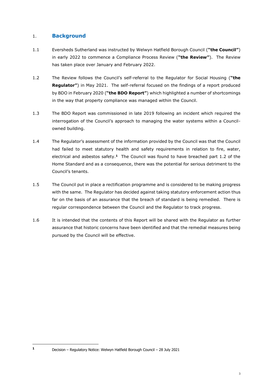## <span id="page-2-0"></span>1. **Background**

- 1.1 Eversheds Sutherland was instructed by Welwyn Hatfield Borough Council (**"the Council"**) in early 2022 to commence a Compliance Process Review (**"the Review"**). The Review has taken place over January and February 2022.
- 1.2 The Review follows the Council's self-referral to the Regulator for Social Housing (**"the Regulator"**) in May 2021. The self-referral focused on the findings of a report produced by BDO in February 2020 (**"the BDO Report"**) which highlighted a number of shortcomings in the way that property compliance was managed within the Council.
- 1.3 The BDO Report was commissioned in late 2019 following an incident which required the interrogation of the Council's approach to managing the water systems within a Councilowned building.
- 1.4 The Regulator's assessment of the information provided by the Council was that the Council had failed to meet statutory health and safety requirements in relation to fire, water, electrical and asbestos safety.**<sup>1</sup>** The Council was found to have breached part 1.2 of the Home Standard and as a consequence, there was the potential for serious detriment to the Council's tenants.
- 1.5 The Council put in place a rectification programme and is considered to be making progress with the same. The Regulator has decided against taking statutory enforcement action thus far on the basis of an assurance that the breach of standard is being remedied. There is regular correspondence between the Council and the Regulator to track progress.
- 1.6 It is intended that the contents of this Report will be shared with the Regulator as further assurance that historic concerns have been identified and that the remedial measures being pursued by the Council will be effective.

**<sup>1</sup>** Decision – Regulatory Notice: Welwyn Hatfield Borough Council – 28 July 2021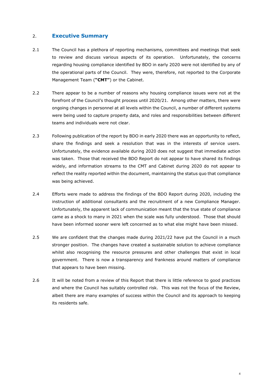## <span id="page-3-0"></span>2. **Executive Summary**

- 2.1 The Council has a plethora of reporting mechanisms, committees and meetings that seek to review and discuss various aspects of its operation. Unfortunately, the concerns regarding housing compliance identified by BDO in early 2020 were not identified by any of the operational parts of the Council. They were, therefore, not reported to the Corporate Management Team (**"CMT"**) or the Cabinet.
- 2.2 There appear to be a number of reasons why housing compliance issues were not at the forefront of the Council's thought process until 2020/21. Among other matters, there were ongoing changes in personnel at all levels within the Council, a number of different systems were being used to capture property data, and roles and responsibilities between different teams and individuals were not clear.
- 2.3 Following publication of the report by BDO in early 2020 there was an opportunity to reflect, share the findings and seek a resolution that was in the interests of service users. Unfortunately, the evidence available during 2020 does not suggest that immediate action was taken. Those that received the BDO Report do not appear to have shared its findings widely, and information streams to the CMT and Cabinet during 2020 do not appear to reflect the reality reported within the document, maintaining the status quo that compliance was being achieved.
- 2.4 Efforts were made to address the findings of the BDO Report during 2020, including the instruction of additional consultants and the recruitment of a new Compliance Manager. Unfortunately, the apparent lack of communication meant that the true state of compliance came as a shock to many in 2021 when the scale was fully understood. Those that should have been informed sooner were left concerned as to what else might have been missed.
- 2.5 We are confident that the changes made during 2021/22 have put the Council in a much stronger position. The changes have created a sustainable solution to achieve compliance whilst also recognising the resource pressures and other challenges that exist in local government. There is now a transparency and frankness around matters of compliance that appears to have been missing.
- 2.6 It will be noted from a review of this Report that there is little reference to good practices and where the Council has suitably controlled risk. This was not the focus of the Review, albeit there are many examples of success within the Council and its approach to keeping its residents safe.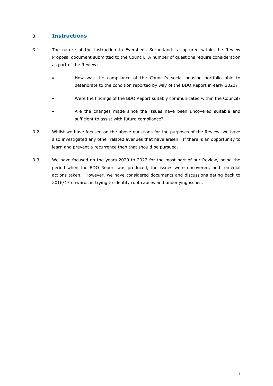## <span id="page-4-0"></span>3. **Instructions**

- 3.1 The nature of the instruction to Eversheds Sutherland is captured within the Review Proposal document submitted to the Council. A number of questions require consideration as part of the Review:
	- How was the compliance of the Council's social housing portfolio able to deteriorate to the condition reported by way of the BDO Report in early 2020?
	- Were the findings of the BDO Report suitably communicated within the Council?
	- Are the changes made since the issues have been uncovered suitable and sufficient to assist with future compliance?
- 3.2 Whilst we have focused on the above questions for the purposes of the Review, we have also investigated any other related avenues that have arisen. If there is an opportunity to learn and prevent a recurrence then that should be pursued.
- 3.3 We have focused on the years 2020 to 2022 for the most part of our Review, being the period when the BDO Report was produced, the issues were uncovered, and remedial actions taken. However, we have considered documents and discussions dating back to 2016/17 onwards in trying to identify root causes and underlying issues.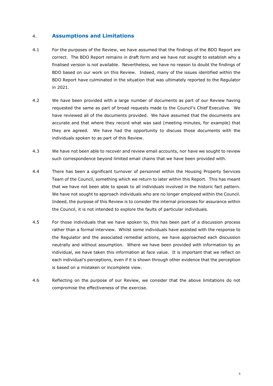## <span id="page-5-0"></span>4. **Assumptions and Limitations**

- 4.1 For the purposes of the Review, we have assumed that the findings of the BDO Report are correct. The BDO Report remains in draft form and we have not sought to establish why a finalised version is not available. Nevertheless, we have no reason to doubt the findings of BDO based on our work on this Review. Indeed, many of the issues identified within the BDO Report have culminated in the situation that was ultimately reported to the Regulator in 2021.
- 4.2 We have been provided with a large number of documents as part of our Review having requested the same as part of broad requests made to the Council's Chief Executive. We have reviewed all of the documents provided. We have assumed that the documents are accurate and that where they record what was said (meeting minutes, for example) that they are agreed. We have had the opportunity to discuss those documents with the individuals spoken to as part of this Review.
- 4.3 We have not been able to recover and review email accounts, nor have we sought to review such correspondence beyond limited email chains that we have been provided with.
- 4.4 There has been a significant turnover of personnel within the Housing Property Services Team of the Council, something which we return to later within this Report. This has meant that we have not been able to speak to all individuals involved in the historic fact pattern. We have not sought to approach individuals who are no longer employed within the Council. Indeed, the purpose of this Review is to consider the internal processes for assurance within the Council, it is not intended to explore the faults of particular individuals.
- 4.5 For those individuals that we have spoken to, this has been part of a discussion process rather than a formal interview. Whilst some individuals have assisted with the response to the Regulator and the associated remedial actions, we have approached each discussion neutrally and without assumption. Where we have been provided with information by an individual, we have taken this information at face value. It is important that we reflect on each individual's perceptions, even if it is shown through other evidence that the perception is based on a mistaken or incomplete view.
- 4.6 Reflecting on the purpose of our Review, we consider that the above limitations do not compromise the effectiveness of the exercise.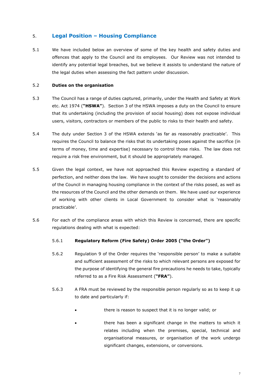## <span id="page-6-0"></span>5. **Legal Position – Housing Compliance**

5.1 We have included below an overview of some of the key health and safety duties and offences that apply to the Council and its employees. Our Review was not intended to identify any potential legal breaches, but we believe it assists to understand the nature of the legal duties when assessing the fact pattern under discussion.

## 5.2 **Duties on the organisation**

- 5.3 The Council has a range of duties captured, primarily, under the Health and Safety at Work etc. Act 1974 (**"HSWA"**). Section 3 of the HSWA imposes a duty on the Council to ensure that its undertaking (including the provision of social housing) does not expose individual users, visitors, contractors or members of the public to risks to their health and safety.
- 5.4 The duty under Section 3 of the HSWA extends 'as far as reasonably practicable'. This requires the Council to balance the risks that its undertaking poses against the sacrifice (in terms of money, time and expertise) necessary to control those risks. The law does not require a risk free environment, but it should be appropriately managed.
- 5.5 Given the legal context, we have not approached this Review expecting a standard of perfection, and neither does the law. We have sought to consider the decisions and actions of the Council in managing housing compliance in the context of the risks posed, as well as the resources of the Council and the other demands on them. We have used our experience of working with other clients in Local Government to consider what is 'reasonably practicable'.
- 5.6 For each of the compliance areas with which this Review is concerned, there are specific regulations dealing with what is expected:

## 5.6.1 **Regulatory Reform (Fire Safety) Order 2005 ("the Order")**

- 5.6.2 Regulation 9 of the Order requires the 'responsible person' to make a suitable and sufficient assessment of the risks to which relevant persons are exposed for the purpose of identifying the general fire precautions he needs to take, typically referred to as a Fire Risk Assessment (**"FRA"**).
- 5.6.3 A FRA must be reviewed by the responsible person regularly so as to keep it up to date and particularly if:
	- there is reason to suspect that it is no longer valid; or
	- there has been a significant change in the matters to which it relates including when the premises, special, technical and organisational measures, or organisation of the work undergo significant changes, extensions, or conversions.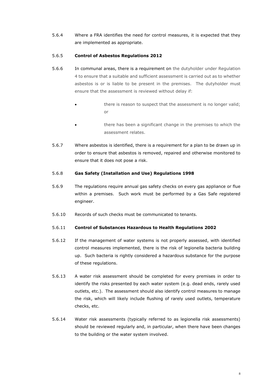5.6.4 Where a FRA identifies the need for control measures, it is expected that they are implemented as appropriate.

## 5.6.5 **Control of Asbestos Regulations 2012**

- 5.6.6 In communal areas, there is a requirement on the dutyholder under Regulation 4 to ensure that a suitable and sufficient assessment is carried out as to whether asbestos is or is liable to be present in the premises. The dutyholder must ensure that the assessment is reviewed without delay if:
	- there is reason to suspect that the assessment is no longer valid; or
	- there has been a significant change in the premises to which the assessment relates.
- 5.6.7 Where asbestos is identified, there is a requirement for a plan to be drawn up in order to ensure that asbestos is removed, repaired and otherwise monitored to ensure that it does not pose a risk.

## 5.6.8 **Gas Safety (Installation and Use) Regulations 1998**

- 5.6.9 The regulations require annual gas safety checks on every gas appliance or flue within a premises. Such work must be performed by a Gas Safe registered engineer.
- 5.6.10 Records of such checks must be communicated to tenants.

## 5.6.11 **Control of Substances Hazardous to Health Regulations 2002**

- 5.6.12 If the management of water systems is not properly assessed, with identified control measures implemented, there is the risk of legionella bacteria building up. Such bacteria is rightly considered a hazardous substance for the purpose of these regulations.
- 5.6.13 A water risk assessment should be completed for every premises in order to identify the risks presented by each water system (e.g. dead ends, rarely used outlets, etc.). The assessment should also identify control measures to manage the risk, which will likely include flushing of rarely used outlets, temperature checks, etc.
- 5.6.14 Water risk assessments (typically referred to as legionella risk assessments) should be reviewed regularly and, in particular, when there have been changes to the building or the water system involved.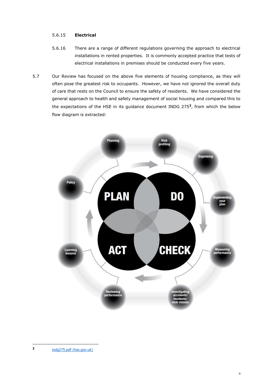## 5.6.15 **Electrical**

- 5.6.16 There are a range of different regulations governing the approach to electrical installations in rented properties. It is commonly accepted practice that tests of electrical installations in premises should be conducted every five years.
- 5.7 Our Review has focused on the above five elements of housing compliance, as they will often pose the greatest risk to occupants. However, we have not ignored the overall duty of care that rests on the Council to ensure the safety of residents. We have considered the general approach to health and safety management of social housing and compared this to the expectations of the HSE in its guidance document INDG 275**<sup>2</sup>** , from which the below flow diagram is extracted:

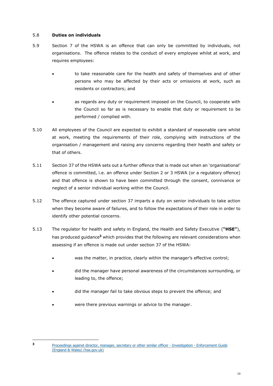## 5.8 **Duties on individuals**

- 5.9 Section 7 of the HSWA is an offence that can only be committed by individuals, not organisations. The offence relates to the conduct of every employee whilst at work, and requires employees:
	- to take reasonable care for the health and safety of themselves and of other persons who may be affected by their acts or omissions at work, such as residents or contractors; and
	- as regards any duty or requirement imposed on the Council, to cooperate with the Council so far as is necessary to enable that duty or requirement to be performed / complied with.
- 5.10 All employees of the Council are expected to exhibit a standard of reasonable care whilst at work, meeting the requirements of their role, complying with instructions of the organisation / management and raising any concerns regarding their health and safety or that of others.
- 5.11 Section 37 of the HSWA sets out a further offence that is made out when an 'organisational' offence is committed, i.e. an offence under Section 2 or 3 HSWA (or a regulatory offence) and that offence is shown to have been committed through the consent, connivance or neglect of a senior individual working within the Council.
- 5.12 The offence captured under section 37 imparts a duty on senior individuals to take action when they become aware of failures, and to follow the expectations of their role in order to identify other potential concerns.
- 5.13 The regulator for health and safety in England, the Health and Safety Executive (**"HSE"**), has produced guidance**<sup>3</sup>** which provides that the following are relevant considerations when assessing if an offence is made out under section 37 of the HSWA:
	- was the matter, in practice, clearly within the manager's effective control;
	- did the manager have personal awareness of the circumstances surrounding, or leading to, the offence;
	- did the manager fail to take obvious steps to prevent the offence; and
	- were there previous warnings or advice to the manager.

**3**

[Proceedings against director, manager, secretary or other similar officer -](https://www.hse.gov.uk/enforce/enforcementguide/investigation/identifying-directors.htm) Investigation - Enforcement Guide [\(England & Wales\) \(hse.gov.uk\)](https://www.hse.gov.uk/enforce/enforcementguide/investigation/identifying-directors.htm)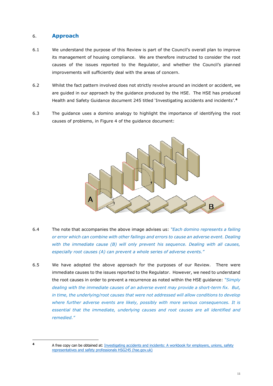## <span id="page-10-0"></span>6. **Approach**

- 6.1 We understand the purpose of this Review is part of the Council's overall plan to improve its management of housing compliance. We are therefore instructed to consider the root causes of the issues reported to the Regulator, and whether the Council's planned improvements will sufficiently deal with the areas of concern.
- 6.2 Whilst the fact pattern involved does not strictly revolve around an incident or accident, we are guided in our approach by the guidance produced by the HSE. The HSE has produced Health and Safety Guidance document 245 titled 'Investigating accidents and incidents'.**<sup>4</sup>**
- 6.3 The guidance uses a domino analogy to highlight the importance of identifying the root causes of problems, in Figure 4 of the guidance document:



- 6.4 The note that accompanies the above image advises us: *"Each domino represents a failing or error which can combine with other failings and errors to cause an adverse event. Dealing with the immediate cause (B) will only prevent his sequence. Dealing with all causes, especially root causes (A) can prevent a whole series of adverse events."*
- 6.5 We have adopted the above approach for the purposes of our Review. There were immediate causes to the issues reported to the Regulator. However, we need to understand the root causes in order to prevent a recurrence as noted within the HSE guidance: *"Simply dealing with the immediate causes of an adverse event may provide a short-term fix. But, in time, the underlying/root causes that were not addressed will allow conditions to develop where further adverse events are likely, possibly with more serious consequences. It is essential that the immediate, underlying causes and root causes are all identified and remedied."*

**<sup>4</sup>** A free copy can be obtained at: [Investigating accidents and incidents: A workbook for employers, unions, safety](https://www.hse.gov.uk/pubns/hsg245.pdf)  [representatives and safety professionals HSG245 \(hse.gov.uk\)](https://www.hse.gov.uk/pubns/hsg245.pdf)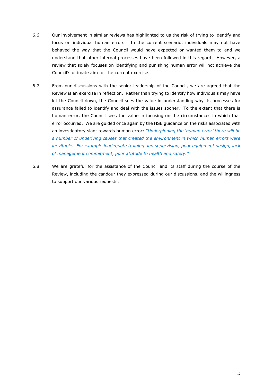- 6.6 Our involvement in similar reviews has highlighted to us the risk of trying to identify and focus on individual human errors. In the current scenario, individuals may not have behaved the way that the Council would have expected or wanted them to and we understand that other internal processes have been followed in this regard. However, a review that solely focuses on identifying and punishing human error will not achieve the Council's ultimate aim for the current exercise.
- 6.7 From our discussions with the senior leadership of the Council, we are agreed that the Review is an exercise in reflection. Rather than trying to identify how individuals may have let the Council down, the Council sees the value in understanding why its processes for assurance failed to identify and deal with the issues sooner. To the extent that there is human error, the Council sees the value in focusing on the circumstances in which that error occurred. We are guided once again by the HSE guidance on the risks associated with an investigatory slant towards human error: *"Underpinning the 'human error' there will be a number of underlying causes that created the environment in which human errors were inevitable. For example inadequate training and supervision, poor equipment design, lack of management commitment, poor attitude to health and safety."*
- 6.8 We are grateful for the assistance of the Council and its staff during the course of the Review, including the candour they expressed during our discussions, and the willingness to support our various requests.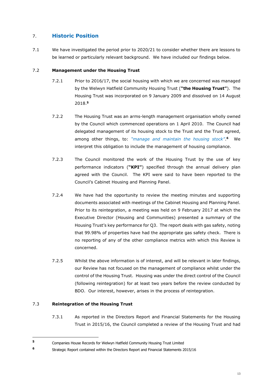## <span id="page-12-0"></span>7. **Historic Position**

7.1 We have investigated the period prior to 2020/21 to consider whether there are lessons to be learned or particularly relevant background. We have included our findings below.

## 7.2 **Management under the Housing Trust**

- 7.2.1 Prior to 2016/17, the social housing with which we are concerned was managed by the Welwyn Hatfield Community Housing Trust (**"the Housing Trust"**). The Housing Trust was incorporated on 9 January 2009 and dissolved on 14 August 2018.**<sup>5</sup>**
- 7.2.2 The Housing Trust was an arms-length management organisation wholly owned by the Council which commenced operations on 1 April 2010. The Council had delegated management of its housing stock to the Trust and the Trust agreed, among other things, to: *"manage and maintain the housing stock"*. **<sup>6</sup>** We interpret this obligation to include the management of housing compliance.
- 7.2.3 The Council monitored the work of the Housing Trust by the use of key performance indicators (**"KPI"**) specified through the annual delivery plan agreed with the Council. The KPI were said to have been reported to the Council's Cabinet Housing and Planning Panel.
- 7.2.4 We have had the opportunity to review the meeting minutes and supporting documents associated with meetings of the Cabinet Housing and Planning Panel. Prior to its reintegration, a meeting was held on 9 February 2017 at which the Executive Director (Housing and Communities) presented a summary of the Housing Trust's key performance for Q3. The report deals with gas safety, noting that 99.98% of properties have had the appropriate gas safety check. There is no reporting of any of the other compliance metrics with which this Review is concerned.
- 7.2.5 Whilst the above information is of interest, and will be relevant in later findings, our Review has not focused on the management of compliance whilst under the control of the Housing Trust. Housing was under the direct control of the Council (following reintegration) for at least two years before the review conducted by BDO. Our interest, however, arises in the process of reintegration.

## 7.3 **Reintegration of the Housing Trust**

7.3.1 As reported in the Directors Report and Financial Statements for the Housing Trust in 2015/16, the Council completed a review of the Housing Trust and had

**<sup>5</sup>** Companies House Records for Welwyn Hatfield Community Housing Trust Limited

**<sup>6</sup>** Strategic Report contained within the Directors Report and Financial Statements 2015/16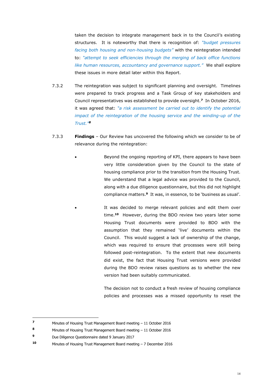taken the decision to integrate management back in to the Council's existing structures. It is noteworthy that there is recognition of: *"budget pressures facing both housing and non-housing budgets"* with the reintegration intended to: *"attempt to seek efficiencies through the merging of back office functions like human resources, accountancy and governance support."* We shall explore these issues in more detail later within this Report.

- 7.3.2 The reintegration was subject to significant planning and oversight. Timelines were prepared to track progress and a Task Group of key stakeholders and Council representatives was established to provide oversight.**<sup>7</sup>** In October 2016, it was agreed that: *"a risk assessment be carried out to identify the potential impact of the reintegration of the housing service and the winding-up of the Trust."<sup>8</sup>*
- 7.3.3 **Findings**  Our Review has uncovered the following which we consider to be of relevance during the reintegration:
	- Beyond the ongoing reporting of KPI, there appears to have been very little consideration given by the Council to the state of housing compliance prior to the transition from the Housing Trust. We understand that a legal advice was provided to the Council, along with a due diligence questionnaire, but this did not highlight compliance matters.**<sup>9</sup>** It was, in essence, to be 'business as usual'.
		- It was decided to merge relevant policies and edit them over time.**<sup>10</sup>** However, during the BDO review two years later some Housing Trust documents were provided to BDO with the assumption that they remained 'live' documents within the Council. This would suggest a lack of ownership of the change, which was required to ensure that processes were still being followed post-reintegration. To the extent that new documents did exist, the fact that Housing Trust versions were provided during the BDO review raises questions as to whether the new version had been suitably communicated.

The decision not to conduct a fresh review of housing compliance policies and processes was a missed opportunity to reset the

**<sup>7</sup>** Minutes of Housing Trust Management Board meeting – 11 October 2016

**<sup>8</sup>** Minutes of Housing Trust Management Board meeting – 11 October 2016

**<sup>9</sup>** Due Diligence Questionnaire dated 9 January 2017

**<sup>10</sup>** Minutes of Housing Trust Management Board meeting – 7 December 2016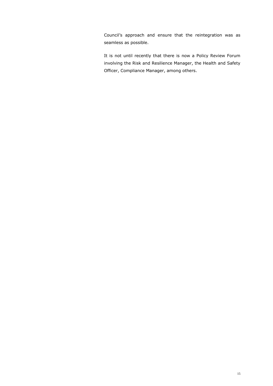Council's approach and ensure that the reintegration was as seamless as possible.

It is not until recently that there is now a Policy Review Forum involving the Risk and Resilience Manager, the Health and Safety Officer, Compliance Manager, among others.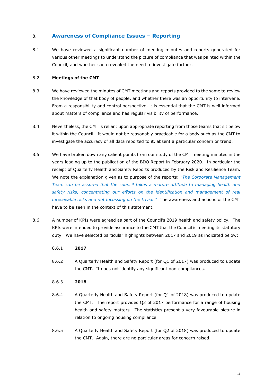## <span id="page-15-0"></span>8. **Awareness of Compliance Issues – Reporting**

8.1 We have reviewed a significant number of meeting minutes and reports generated for various other meetings to understand the picture of compliance that was painted within the Council, and whether such revealed the need to investigate further.

## 8.2 **Meetings of the CMT**

- 8.3 We have reviewed the minutes of CMT meetings and reports provided to the same to review the knowledge of that body of people, and whether there was an opportunity to intervene. From a responsibility and control perspective, it is essential that the CMT is well informed about matters of compliance and has regular visibility of performance.
- 8.4 Nevertheless, the CMT is reliant upon appropriate reporting from those teams that sit below it within the Council. It would not be reasonably practicable for a body such as the CMT to investigate the accuracy of all data reported to it, absent a particular concern or trend.
- 8.5 We have broken down any salient points from our study of the CMT meeting minutes in the years leading up to the publication of the BDO Report in February 2020. In particular the receipt of Quarterly Health and Safety Reports produced by the Risk and Resilience Team. We note the explanation given as to purpose of the reports: *"The Corporate Management Team can be assured that the council takes a mature attitude to managing health and*  safety risks, concentrating our efforts on the identification and management of real *foreseeable risks and not focussing on the trivial."* The awareness and actions of the CMT have to be seen in the context of this statement.
- 8.6 A number of KPIs were agreed as part of the Council's 2019 health and safety policy. The KPIs were intended to provide assurance to the CMT that the Council is meeting its statutory duty. We have selected particular highlights between 2017 and 2019 as indicated below:
	- 8.6.1 **2017**
	- 8.6.2 A Quarterly Health and Safety Report (for Q1 of 2017) was produced to update the CMT. It does not identify any significant non-compliances.
	- 8.6.3 **2018**
	- 8.6.4 A Quarterly Health and Safety Report (for Q1 of 2018) was produced to update the CMT. The report provides Q3 of 2017 performance for a range of housing health and safety matters. The statistics present a very favourable picture in relation to ongoing housing compliance.
	- 8.6.5 A Quarterly Health and Safety Report (for Q2 of 2018) was produced to update the CMT. Again, there are no particular areas for concern raised.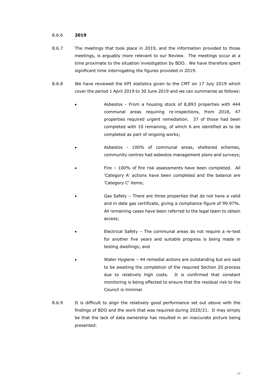## 8.6.6 **2019**

- 8.6.7 The meetings that took place in 2019, and the information provided to those meetings, is arguably more relevant to our Review. The meetings occur at a time proximate to the situation investigation by BDO. We have therefore spent significant time interrogating the figures provided in 2019.
- 8.6.8 We have reviewed the KPI statistics given to the CMT on 17 July 2019 which cover the period 1 April 2019 to 30 June 2019 and we can summarise as follows:
	- Asbestos From a housing stock of 8,893 properties with 444 communal areas requiring re-inspections, from 2018, 47 properties required urgent remediation. 37 of those had been completed with 10 remaining, of which 6 are identified as to be completed as part of ongoing works;
	- Asbestos 100% of communal areas, sheltered schemes, community centres had asbestos management plans and surveys;
		- Fire 100% of fire risk assessments have been completed. All 'Category A' actions have been completed and the balance are 'Category C' items;
			- Gas Safety There are three properties that do not have a valid and in date gas certificate, giving a compliance figure of 99.97%. All remaining cases have been referred to the legal team to obtain access;
			- Electrical Safety The communal areas do not require a re-test for another five years and suitable progress is being made in testing dwellings; and
		- Water Hygiene 44 remedial actions are outstanding but are said to be awaiting the completion of the required Section 20 process due to relatively high costs. It is confirmed that constant monitoring is being effected to ensure that the residual risk to the Council is minimal.
- 8.6.9 It is difficult to align the relatively good performance set out above with the findings of BDO and the work that was required during 2020/21. It may simply be that the lack of data ownership has resulted in an inaccurate picture being presented.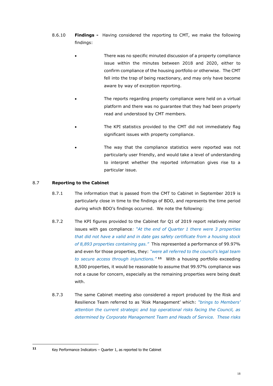- 8.6.10 **Findings -** Having considered the reporting to CMT, we make the following findings:
	- There was no specific minuted discussion of a property compliance issue within the minutes between 2018 and 2020, either to confirm compliance of the housing portfolio or otherwise. The CMT fell into the trap of being reactionary, and may only have become aware by way of exception reporting.
	- The reports regarding property compliance were held on a virtual platform and there was no guarantee that they had been properly read and understood by CMT members.
	- The KPI statistics provided to the CMT did not immediately flag significant issues with property compliance.
	- The way that the compliance statistics were reported was not particularly user friendly, and would take a level of understanding to interpret whether the reported information gives rise to a particular issue.

## 8.7 **Reporting to the Cabinet**

- 8.7.1 The information that is passed from the CMT to Cabinet in September 2019 is particularly close in time to the findings of BDO, and represents the time period during which BDO's findings occurred. We note the following:
- 8.7.2 The KPI figures provided to the Cabinet for Q1 of 2019 report relatively minor issues with gas compliance*: "At the end of Quarter 1 there were 3 properties that did not have a valid and in date gas safety certificate from a housing stock of 8,893 properties containing gas."* This represented a performance of 99.97% and even for those properties, they: *"were all referred to the council's legal team to secure access through injunctions."* **<sup>11</sup>** With a housing portfolio exceeding 8,500 properties, it would be reasonable to assume that 99.97% compliance was not a cause for concern, especially as the remaining properties were being dealt with.
- 8.7.3 The same Cabinet meeting also considered a report produced by the Risk and Resilience Team referred to as 'Risk Management' which: *"brings to Members' attention the current strategic and top operational risks facing the Council, as determined by Corporate Management Team and Heads of Service. These risks*

**<sup>11</sup>** Key Performance Indicators – Quarter 1, as reported to the Cabinet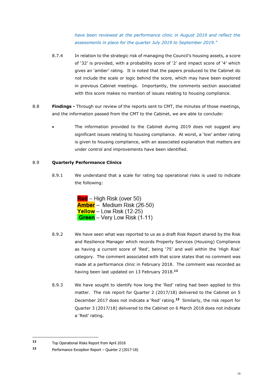*have been reviewed at the performance clinic in August 2019 and reflect the assessments in place for the quarter July 2019 to September 2019."*

- 8.7.4 In relation to the strategic risk of managing the Council's housing assets, a score of '32' is provided, with a probability score of '2' and impact score of '4' which gives an 'amber' rating. It is noted that the papers produced to the Cabinet do not include the scale or logic behind the score, which may have been explored in previous Cabinet meetings. Importantly, the comments section associated with this score makes no mention of issues relating to housing compliance.
- 8.8 **Findings -** Through our review of the reports sent to CMT, the minutes of those meetings, and the information passed from the CMT to the Cabinet, we are able to conclude:
	- The information provided to the Cabinet during 2019 does not suggest any significant issues relating to housing compliance. At worst, a 'low' amber rating is given to housing compliance, with an associated explanation that matters are under control and improvements have been identified.

## 8.9 **Quarterly Performance Clinics**

8.9.1 We understand that a scale for rating top operational risks is used to indicate the following:

> **Red** – High Risk (over 50) Amber - Medium Risk (26-50) Yellow – Low Risk (12-25) **Green** – Very Low Risk (1-11)

- 8.9.2 We have seen what was reported to us as a draft Risk Report shared by the Risk and Resilience Manager which records Property Services (Housing) Compliance as having a current score of 'Red', being '75' and well within the 'High Risk' category. The comment associated with that score states that no comment was made at a performance clinic in February 2018. The comment was recorded as having been last updated on 13 February 2018.**<sup>12</sup>**
- 8.9.3 We have sought to identify how long the 'Red' rating had been applied to this matter. The risk report for Quarter 2 (2017/18) delivered to the Cabinet on 5 December 2017 does not indicate a 'Red' rating.**<sup>13</sup>** Similarly, the risk report for Quarter 3 (2017/18) delivered to the Cabinet on 6 March 2018 does not indicate a 'Red' rating.

**<sup>12</sup>** Top Operational Risks Report from April 2018

**<sup>13</sup>** Performance Exception Report – Quarter 2 (2017-18)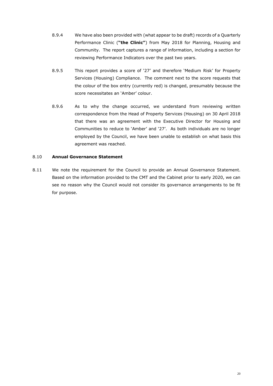- 8.9.4 We have also been provided with (what appear to be draft) records of a Quarterly Performance Clinic (**"the Clinic"**) from May 2018 for Planning, Housing and Community. The report captures a range of information, including a section for reviewing Performance Indicators over the past two years.
- 8.9.5 This report provides a score of '27' and therefore 'Medium Risk' for Property Services (Housing) Compliance. The comment next to the score requests that the colour of the box entry (currently red) is changed, presumably because the score necessitates an 'Amber' colour.
- 8.9.6 As to why the change occurred, we understand from reviewing written correspondence from the Head of Property Services (Housing) on 30 April 2018 that there was an agreement with the Executive Director for Housing and Communities to reduce to 'Amber' and '27'. As both individuals are no longer employed by the Council, we have been unable to establish on what basis this agreement was reached.

## 8.10 **Annual Governance Statement**

8.11 We note the requirement for the Council to provide an Annual Governance Statement. Based on the information provided to the CMT and the Cabinet prior to early 2020, we can see no reason why the Council would not consider its governance arrangements to be fit for purpose.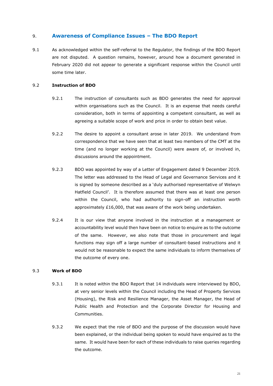## <span id="page-20-0"></span>9. **Awareness of Compliance Issues – The BDO Report**

9.1 As acknowledged within the self-referral to the Regulator, the findings of the BDO Report are not disputed. A question remains, however, around how a document generated in February 2020 did not appear to generate a significant response within the Council until some time later.

## 9.2 **Instruction of BDO**

- 9.2.1 The instruction of consultants such as BDO generates the need for approval within organisations such as the Council. It is an expense that needs careful consideration, both in terms of appointing a competent consultant, as well as agreeing a suitable scope of work and price in order to obtain best value.
- 9.2.2 The desire to appoint a consultant arose in later 2019. We understand from correspondence that we have seen that at least two members of the CMT at the time (and no longer working at the Council) were aware of, or involved in, discussions around the appointment.
- 9.2.3 BDO was appointed by way of a Letter of Engagement dated 9 December 2019. The letter was addressed to the Head of Legal and Governance Services and it is signed by someone described as a 'duly authorised representative of Welwyn Hatfield Council'. It is therefore assumed that there was at least one person within the Council, who had authority to sign-off an instruction worth approximately £16,000, that was aware of the work being undertaken.
- 9.2.4 It is our view that anyone involved in the instruction at a management or accountability level would then have been on notice to enquire as to the outcome of the same. However, we also note that those in procurement and legal functions may sign off a large number of consultant-based instructions and it would not be reasonable to expect the same individuals to inform themselves of the outcome of every one.

## 9.3 **Work of BDO**

- 9.3.1 It is noted within the BDO Report that 14 individuals were interviewed by BDO, at very senior levels within the Council including the Head of Property Services (Housing), the Risk and Resilience Manager, the Asset Manager, the Head of Public Health and Protection and the Corporate Director for Housing and Communities.
- 9.3.2 We expect that the role of BDO and the purpose of the discussion would have been explained, or the individual being spoken to would have enquired as to the same. It would have been for each of these individuals to raise queries regarding the outcome.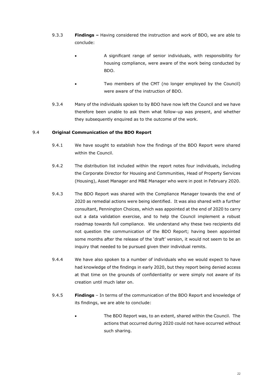- 9.3.3 **Findings –** Having considered the instruction and work of BDO, we are able to conclude:
	- A significant range of senior individuals, with responsibility for housing compliance, were aware of the work being conducted by BDO.
	- Two members of the CMT (no longer employed by the Council) were aware of the instruction of BDO.
- 9.3.4 Many of the individuals spoken to by BDO have now left the Council and we have therefore been unable to ask them what follow-up was present, and whether they subsequently enquired as to the outcome of the work.

## 9.4 **Original Communication of the BDO Report**

- 9.4.1 We have sought to establish how the findings of the BDO Report were shared within the Council.
- 9.4.2 The distribution list included within the report notes four individuals, including the Corporate Director for Housing and Communities, Head of Property Services (Housing), Asset Manager and M&E Manager who were in post in February 2020.
- 9.4.3 The BDO Report was shared with the Compliance Manager towards the end of 2020 as remedial actions were being identified. It was also shared with a further consultant, Pennington Choices, which was appointed at the end of 2020 to carry out a data validation exercise, and to help the Council implement a robust roadmap towards full compliance. We understand why these two recipients did not question the communication of the BDO Report; having been appointed some months after the release of the 'draft' version, it would not seem to be an inquiry that needed to be pursued given their individual remits.
- 9.4.4 We have also spoken to a number of individuals who we would expect to have had knowledge of the findings in early 2020, but they report being denied access at that time on the grounds of confidentiality or were simply not aware of its creation until much later on.
- 9.4.5 **Findings**  In terms of the communication of the BDO Report and knowledge of its findings, we are able to conclude:
	- The BDO Report was, to an extent, shared within the Council. The actions that occurred during 2020 could not have occurred without such sharing.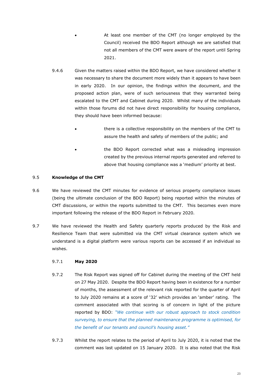At least one member of the CMT (no longer employed by the Council) received the BDO Report although we are satisfied that not all members of the CMT were aware of the report until Spring 2021.

- 9.4.6 Given the matters raised within the BDO Report, we have considered whether it was necessary to share the document more widely than it appears to have been in early 2020. In our opinion, the findings within the document, and the proposed action plan, were of such seriousness that they warranted being escalated to the CMT and Cabinet during 2020. Whilst many of the individuals within those forums did not have direct responsibility for housing compliance, they should have been informed because:
	- there is a collective responsibility on the members of the CMT to assure the health and safety of members of the public; and
	- the BDO Report corrected what was a misleading impression created by the previous internal reports generated and referred to above that housing compliance was a 'medium' priority at best.

## 9.5 **Knowledge of the CMT**

- 9.6 We have reviewed the CMT minutes for evidence of serious property compliance issues (being the ultimate conclusion of the BDO Report) being reported within the minutes of CMT discussions, or within the reports submitted to the CMT. This becomes even more important following the release of the BDO Report in February 2020.
- 9.7 We have reviewed the Health and Safety quarterly reports produced by the Risk and Resilience Team that were submitted via the CMT virtual clearance system which we understand is a digital platform were various reports can be accessed if an individual so wishes.

## 9.7.1 **May 2020**

- 9.7.2 The Risk Report was signed off for Cabinet during the meeting of the CMT held on 27 May 2020. Despite the BDO Report having been in existence for a number of months, the assessment of the relevant risk reported for the quarter of April to July 2020 remains at a score of '32' which provides an 'amber' rating. The comment associated with that scoring is of concern in light of the picture reported by BDO: *"We continue with our robust approach to stock condition surveying, to ensure that the planned maintenance programme is optimised, for the benefit of our tenants and council's housing asset."*
- 9.7.3 Whilst the report relates to the period of April to July 2020, it is noted that the comment was last updated on 15 January 2020. It is also noted that the Risk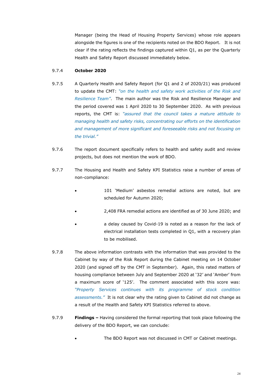Manager (being the Head of Housing Property Services) whose role appears alongside the figures is one of the recipients noted on the BDO Report. It is not clear if the rating reflects the findings captured within Q1, as per the Quarterly Health and Safety Report discussed immediately below.

## 9.7.4 **October 2020**

- 9.7.5 A Quarterly Health and Safety Report (for Q1 and 2 of 2020/21) was produced to update the CMT: *"on the health and safety work activities of the Risk and Resilience Team"*. The main author was the Risk and Resilience Manager and the period covered was 1 April 2020 to 30 September 2020. As with previous reports, the CMT is: *"assured that the council takes a mature attitude to managing health and safety risks, concentrating our efforts on the identification and management of more significant and foreseeable risks and not focusing on the trivial."*
- 9.7.6 The report document specifically refers to health and safety audit and review projects, but does not mention the work of BDO.
- 9.7.7 The Housing and Health and Safety KPI Statistics raise a number of areas of non-compliance:
	- 101 'Medium' asbestos remedial actions are noted, but are scheduled for Autumn 2020;
	- 2,408 FRA remedial actions are identified as of 30 June 2020; and
	- a delay caused by Covid-19 is noted as a reason for the lack of electrical installation tests completed in Q1, with a recovery plan to be mobilised.
- 9.7.8 The above information contrasts with the information that was provided to the Cabinet by way of the Risk Report during the Cabinet meeting on 14 October 2020 (and signed off by the CMT in September). Again, this rated matters of housing compliance between July and September 2020 at '32' and 'Amber' from a maximum score of '125'. The comment associated with this score was: *"Property Services continues with its programme of stock condition assessments."* It is not clear why the rating given to Cabinet did not change as a result of the Health and Safety KPI Statistics referred to above.
- 9.7.9 **Findings –** Having considered the formal reporting that took place following the delivery of the BDO Report, we can conclude:
	- The BDO Report was not discussed in CMT or Cabinet meetings.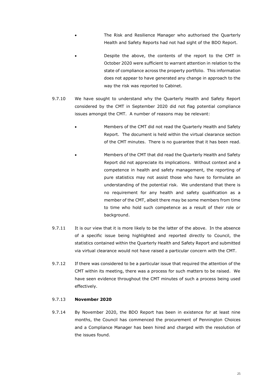- The Risk and Resilience Manager who authorised the Quarterly Health and Safety Reports had not had sight of the BDO Report.
- Despite the above, the contents of the report to the CMT in October 2020 were sufficient to warrant attention in relation to the state of compliance across the property portfolio. This information does not appear to have generated any change in approach to the way the risk was reported to Cabinet.
- 9.7.10 We have sought to understand why the Quarterly Health and Safety Report considered by the CMT in September 2020 did not flag potential compliance issues amongst the CMT. A number of reasons may be relevant:
	- Members of the CMT did not read the Quarterly Health and Safety Report. The document is held within the virtual clearance section of the CMT minutes. There is no guarantee that it has been read.
		- Members of the CMT that did read the Quarterly Health and Safety Report did not appreciate its implications. Without context and a competence in health and safety management, the reporting of pure statistics may not assist those who have to formulate an understanding of the potential risk. We understand that there is no requirement for any health and safety qualification as a member of the CMT, albeit there may be some members from time to time who hold such competence as a result of their role or background.
- 9.7.11 It is our view that it is more likely to be the latter of the above. In the absence of a specific issue being highlighted and reported directly to Council, the statistics contained within the Quarterly Health and Safety Report and submitted via virtual clearance would not have raised a particular concern with the CMT.
- 9.7.12 If there was considered to be a particular issue that required the attention of the CMT within its meeting, there was a process for such matters to be raised. We have seen evidence throughout the CMT minutes of such a process being used effectively.

## 9.7.13 **November 2020**

9.7.14 By November 2020, the BDO Report has been in existence for at least nine months, the Council has commenced the procurement of Pennington Choices and a Compliance Manager has been hired and charged with the resolution of the issues found.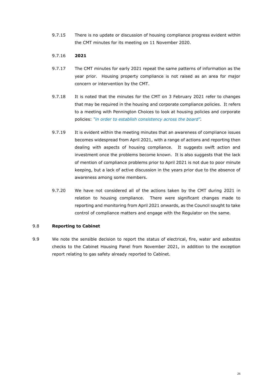9.7.15 There is no update or discussion of housing compliance progress evident within the CMT minutes for its meeting on 11 November 2020.

## 9.7.16 **2021**

- 9.7.17 The CMT minutes for early 2021 repeat the same patterns of information as the year prior. Housing property compliance is not raised as an area for major concern or intervention by the CMT.
- 9.7.18 It is noted that the minutes for the CMT on 3 February 2021 refer to changes that may be required in the housing and corporate compliance policies. It refers to a meeting with Pennington Choices to look at housing policies and corporate policies: *"in order to establish consistency across the board".*
- 9.7.19 It is evident within the meeting minutes that an awareness of compliance issues becomes widespread from April 2021, with a range of actions and reporting then dealing with aspects of housing compliance. It suggests swift action and investment once the problems become known. It is also suggests that the lack of mention of compliance problems prior to April 2021 is not due to poor minute keeping, but a lack of active discussion in the years prior due to the absence of awareness among some members.
- 9.7.20 We have not considered all of the actions taken by the CMT during 2021 in relation to housing compliance. There were significant changes made to reporting and monitoring from April 2021 onwards, as the Council sought to take control of compliance matters and engage with the Regulator on the same.

## 9.8 **Reporting to Cabinet**

9.9 We note the sensible decision to report the status of electrical, fire, water and asbestos checks to the Cabinet Housing Panel from November 2021, in addition to the exception report relating to gas safety already reported to Cabinet.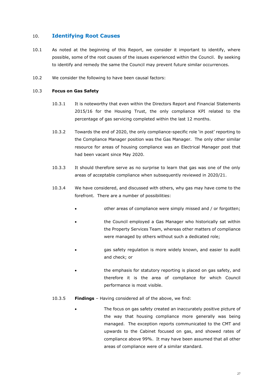## <span id="page-26-0"></span>10. **Identifying Root Causes**

- 10.1 As noted at the beginning of this Report, we consider it important to identify, where possible, some of the root causes of the issues experienced within the Council. By seeking to identify and remedy the same the Council may prevent future similar occurrences.
- 10.2 We consider the following to have been causal factors:

#### 10.3 **Focus on Gas Safety**

- 10.3.1 It is noteworthy that even within the Directors Report and Financial Statements 2015/16 for the Housing Trust, the only compliance KPI related to the percentage of gas servicing completed within the last 12 months.
- 10.3.2 Towards the end of 2020, the only compliance-specific role 'in post' reporting to the Compliance Manager position was the Gas Manager. The only other similar resource for areas of housing compliance was an Electrical Manager post that had been vacant since May 2020.
- 10.3.3 It should therefore serve as no surprise to learn that gas was one of the only areas of acceptable compliance when subsequently reviewed in 2020/21.
- 10.3.4 We have considered, and discussed with others, why gas may have come to the forefront. There are a number of possibilities:
	- other areas of compliance were simply missed and / or forgotten;
	- the Council employed a Gas Manager who historically sat within the Property Services Team, whereas other matters of compliance were managed by others without such a dedicated role;
	- gas safety regulation is more widely known, and easier to audit and check; or
	- the emphasis for statutory reporting is placed on gas safety, and therefore it is the area of compliance for which Council performance is most visible.
- 10.3.5 **Findings**  Having considered all of the above, we find:
	- The focus on gas safety created an inaccurately positive picture of the way that housing compliance more generally was being managed. The exception reports communicated to the CMT and upwards to the Cabinet focused on gas, and showed rates of compliance above 99%. It may have been assumed that all other areas of compliance were of a similar standard.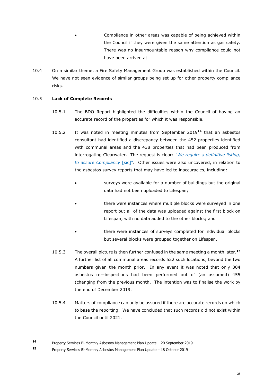Compliance in other areas was capable of being achieved within the Council if they were given the same attention as gas safety. There was no insurmountable reason why compliance could not have been arrived at.

10.4 On a similar theme, a Fire Safety Management Group was established within the Council. We have not seen evidence of similar groups being set up for other property compliance risks.

## 10.5 **Lack of Complete Records**

- 10.5.1 The BDO Report highlighted the difficulties within the Council of having an accurate record of the properties for which it was responsible.
- 10.5.2 It was noted in meeting minutes from September 2019**<sup>14</sup>** that an asbestos consultant had identified a discrepancy between the 452 properties identified with communal areas and the 438 properties that had been produced from interrogating Clearwater. The request is clear: *"We require a definitive listing, to assure Compliancy* [sic]". Other issues were also uncovered, in relation to the asbestos survey reports that may have led to inaccuracies, including:
	- surveys were available for a number of buildings but the original data had not been uploaded to Lifespan;
	- there were instances where multiple blocks were surveyed in one report but all of the data was uploaded against the first block on Lifespan, with no data added to the other blocks; and
	- there were instances of surveys completed for individual blocks but several blocks were grouped together on Lifespan.
- 10.5.3 The overall picture is then further confused in the same meeting a month later.**<sup>15</sup>** A further list of all communal areas records 522 such locations, beyond the two numbers given the month prior. In any event it was noted that only 304 asbestos re—inspections had been performed out of (an assumed) 455 (changing from the previous month. The intention was to finalise the work by the end of December 2019.
- 10.5.4 Matters of compliance can only be assured if there are accurate records on which to base the reporting. We have concluded that such records did not exist within the Council until 2021.

**<sup>14</sup>** Property Services Bi-Monthly Asbestos Management Plan Update – 20 September 2019

**<sup>15</sup>** Property Services Bi-Monthly Asbestos Management Plan Update – 18 October 2019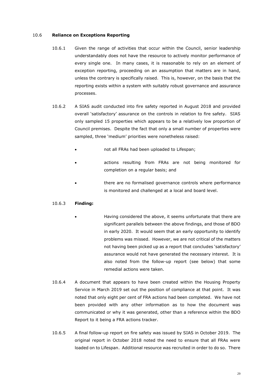#### 10.6 **Reliance on Exceptions Reporting**

- 10.6.1 Given the range of activities that occur within the Council, senior leadership understandably does not have the resource to actively monitor performance of every single one. In many cases, it is reasonable to rely on an element of exception reporting, proceeding on an assumption that matters are in hand, unless the contrary is specifically raised. This is, however, on the basis that the reporting exists within a system with suitably robust governance and assurance processes.
- 10.6.2 A SIAS audit conducted into fire safety reported in August 2018 and provided overall 'satisfactory' assurance on the controls in relation to fire safety. SIAS only sampled 15 properties which appears to be a relatively low proportion of Council premises. Despite the fact that only a small number of properties were sampled, three 'medium' priorities were nonetheless raised:
	- not all FRAs had been uploaded to Lifespan;
	- actions resulting from FRAs are not being monitored for completion on a regular basis; and
	- there are no formalised governance controls where performance is monitored and challenged at a local and board level.

## 10.6.3 **Finding:**

- Having considered the above, it seems unfortunate that there are significant parallels between the above findings, and those of BDO in early 2020. It would seem that an early opportunity to identify problems was missed. However, we are not critical of the matters not having been picked up as a report that concludes 'satisfactory' assurance would not have generated the necessary interest. It is also noted from the follow-up report (see below) that some remedial actions were taken.
- 10.6.4 A document that appears to have been created within the Housing Property Service in March 2019 set out the position of compliance at that point. It was noted that only eight per cent of FRA actions had been completed. We have not been provided with any other information as to how the document was communicated or why it was generated, other than a reference within the BDO Report to it being a FRA actions tracker.
- 10.6.5 A final follow-up report on fire safety was issued by SIAS in October 2019. The original report in October 2018 noted the need to ensure that all FRAs were loaded on to Lifespan. Additional resource was recruited in order to do so. There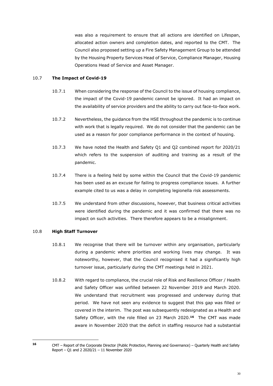was also a requirement to ensure that all actions are identified on Lifespan, allocated action owners and completion dates, and reported to the CMT. The Council also proposed setting up a Fire Safety Management Group to be attended by the Housing Property Services Head of Service, Compliance Manager, Housing Operations Head of Service and Asset Manager.

## 10.7 **The Impact of Covid-19**

- 10.7.1 When considering the response of the Council to the issue of housing compliance, the impact of the Covid-19 pandemic cannot be ignored. It had an impact on the availability of service providers and the ability to carry out face-to-face work.
- 10.7.2 Nevertheless, the guidance from the HSE throughout the pandemic is to continue with work that is legally required. We do not consider that the pandemic can be used as a reason for poor compliance performance in the context of housing.
- 10.7.3 We have noted the Health and Safety Q1 and Q2 combined report for 2020/21 which refers to the suspension of auditing and training as a result of the pandemic.
- 10.7.4 There is a feeling held by some within the Council that the Covid-19 pandemic has been used as an excuse for failing to progress compliance issues. A further example cited to us was a delay in completing legionella risk assessments.
- 10.7.5 We understand from other discussions, however, that business critical activities were identified during the pandemic and it was confirmed that there was no impact on such activities. There therefore appears to be a misalignment.

## 10.8 **High Staff Turnover**

- 10.8.1 We recognise that there will be turnover within any organisation, particularly during a pandemic where priorities and working lives may change. It was noteworthy, however, that the Council recognised it had a significantly high turnover issue, particularly during the CMT meetings held in 2021.
- 10.8.2 With regard to compliance, the crucial role of Risk and Resilience Officer / Health and Safety Officer was unfilled between 22 November 2019 and March 2020. We understand that recruitment was progressed and underway during that period. We have not seen any evidence to suggest that this gap was filled or covered in the interim. The post was subsequently redesignated as a Health and Safety Officer, with the role filled on 23 March 2020.**<sup>16</sup>** The CMT was made aware in November 2020 that the deficit in staffing resource had a substantial

**<sup>16</sup>** CMT – Report of the Corporate Director (Public Protection, Planning and Governance) – Quarterly Health and Safety Report – Q1 and 2 2020/21 – 11 November 2020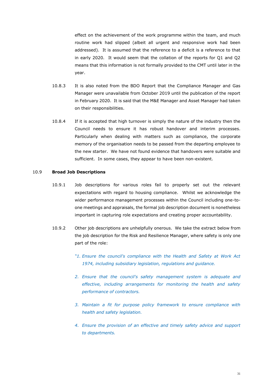effect on the achievement of the work programme within the team, and much routine work had slipped (albeit all urgent and responsive work had been addressed). It is assumed that the reference to a deficit is a reference to that in early 2020. It would seem that the collation of the reports for Q1 and Q2 means that this information is not formally provided to the CMT until later in the year.

- 10.8.3 It is also noted from the BDO Report that the Compliance Manager and Gas Manager were unavailable from October 2019 until the publication of the report in February 2020. It is said that the M&E Manager and Asset Manager had taken on their responsibilities.
- 10.8.4 If it is accepted that high turnover is simply the nature of the industry then the Council needs to ensure it has robust handover and interim processes. Particularly when dealing with matters such as compliance, the corporate memory of the organisation needs to be passed from the departing employee to the new starter. We have not found evidence that handovers were suitable and sufficient. In some cases, they appear to have been non-existent.

## 10.9 **Broad Job Descriptions**

- 10.9.1 Job descriptions for various roles fail to properly set out the relevant expectations with regard to housing compliance. Whilst we acknowledge the wider performance management processes within the Council including one-toone meetings and appraisals, the formal job description document is nonetheless important in capturing role expectations and creating proper accountability.
- 10.9.2 Other job descriptions are unhelpfully onerous. We take the extract below from the job description for the Risk and Resilience Manager, where safety is only one part of the role:
	- *"1. Ensure the council's compliance with the Health and Safety at Work Act 1974, including subsidiary legislation, regulations and guidance.*
	- *2. Ensure that the council's safety management system is adequate and effective, including arrangements for monitoring the health and safety performance of contractors.*
	- *3. Maintain a fit for purpose policy framework to ensure compliance with health and safety legislation.*
	- *4. Ensure the provision of an effective and timely safety advice and support to departments.*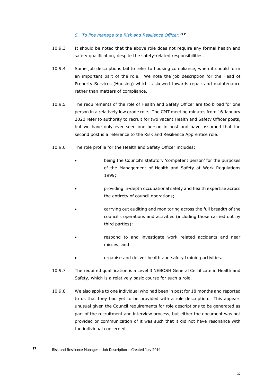## *5. To line manage the Risk and Resilience Officer."<sup>17</sup>*

- 10.9.3 It should be noted that the above role does not require any formal health and safety qualification, despite the safety-related responsibilities.
- 10.9.4 Some job descriptions fail to refer to housing compliance, when it should form an important part of the role. We note the job description for the Head of Property Services (Housing) which is skewed towards repair and maintenance rather than matters of compliance.
- 10.9.5 The requirements of the role of Health and Safety Officer are too broad for one person in a relatively low grade role. The CMT meeting minutes from 16 January 2020 refer to authority to recruit for two vacant Health and Safety Officer posts, but we have only ever seen one person in post and have assumed that the second post is a reference to the Risk and Resilience Apprentice role.
- 10.9.6 The role profile for the Health and Safety Officer includes:
	- being the Council's statutory 'competent person' for the purposes of the Management of Health and Safety at Work Regulations 1999;
	- providing in-depth occupational safety and health expertise across the entirety of council operations;
	- carrying out auditing and monitoring across the full breadth of the council's operations and activities (including those carried out by third parties);
	- respond to and investigate work related accidents and near misses; and
	- organise and deliver health and safety training activities.
- 10.9.7 The required qualification is a Level 3 NEBOSH General Certificate in Health and Safety, which is a relatively basic course for such a role.
- 10.9.8 We also spoke to one individual who had been in post for 18 months and reported to us that they had yet to be provided with a role description. This appears unusual given the Council requirements for role descriptions to be generated as part of the recruitment and interview process, but either the document was not provided or communication of it was such that it did not have resonance with the individual concerned.

**<sup>17</sup>** Risk and Resilience Manager – Job Description – Created July 2014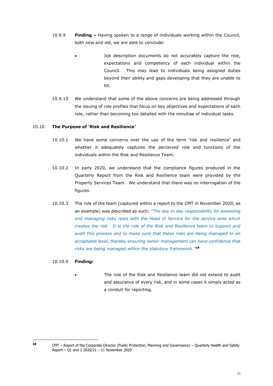- 10.9.9 **Finding –** Having spoken to a range of individuals working within the Council, both new and old, we are able to conclude:
	- Job description documents do not accurately capture the role, expectations and competency of each individual within the Council. This may lead to individuals being assigned duties beyond their ability and gaps developing that they are unable to fill.
- 10.9.10 We understand that some of the above concerns are being addressed through the issuing of role profiles that focus on key objectives and expectations of each role, rather than becoming too detailed with the minutiae of individual tasks.

## 10.10 **The Purpose of 'Risk and Resilience'**

- 10.10.1 We have some concerns over the use of the term 'risk and resilience' and whether it adequately captures the perceived role and functions of the individuals within the Risk and Resilience Team.
- 10.10.2 In early 2020, we understand that the compliance figures produced in the Quarterly Report from the Risk and Resilience team were provided by the Property Services Team. We understand that there was no interrogation of the figures.
- 10.10.3 The role of the team (captured within a report to the CMT in November 2020, as an example) was described as such: *"The day to day responsibility for assessing and managing risks rests with the Head of Service for the service area which creates the risk. It is the role of the Risk and Resilience team to support and audit this process and to make sure that these risks are being managed to an acceptable level, thereby ensuring senior management can have confidence that risks are being managed within the statutory framework."<sup>18</sup>*

## 10.10.4 **Finding:**

The role of the Risk and Resilience team did not extend to audit and assurance of every risk, and in some cases it simply acted as a conduit for reporting.

**<sup>18</sup>** CMT – Report of the Corporate Director (Public Protection, Planning and Governance) – Quarterly Health and Safety Report – Q1 and 2 2020/21 – 11 November 2020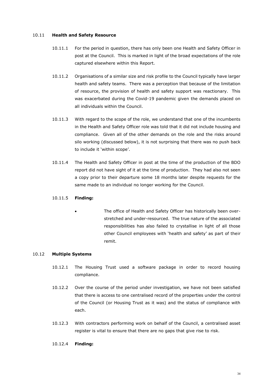## 10.11 **Health and Safety Resource**

- 10.11.1 For the period in question, there has only been one Health and Safety Officer in post at the Council. This is marked in light of the broad expectations of the role captured elsewhere within this Report.
- 10.11.2 Organisations of a similar size and risk profile to the Council typically have larger health and safety teams. There was a perception that because of the limitation of resource, the provision of health and safety support was reactionary. This was exacerbated during the Covid-19 pandemic given the demands placed on all individuals within the Council.
- 10.11.3 With regard to the scope of the role, we understand that one of the incumbents in the Health and Safety Officer role was told that it did not include housing and compliance. Given all of the other demands on the role and the risks around silo working (discussed below), it is not surprising that there was no push back to include it 'within scope'.
- 10.11.4 The Health and Safety Officer in post at the time of the production of the BDO report did not have sight of it at the time of production. They had also not seen a copy prior to their departure some 18 months later despite requests for the same made to an individual no longer working for the Council.

## 10.11.5 **Finding:**

• The office of Health and Safety Officer has historically been overstretched and under-resourced. The true nature of the associated responsibilities has also failed to crystallise in light of all those other Council employees with 'health and safety' as part of their remit.

## 10.12 **Multiple Systems**

- 10.12.1 The Housing Trust used a software package in order to record housing compliance.
- 10.12.2 Over the course of the period under investigation, we have not been satisfied that there is access to one centralised record of the properties under the control of the Council (or Housing Trust as it was) and the status of compliance with each.
- 10.12.3 With contractors performing work on behalf of the Council, a centralised asset register is vital to ensure that there are no gaps that give rise to risk.
- 10.12.4 **Finding:**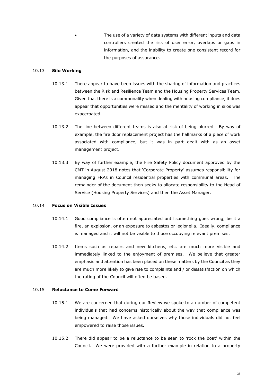The use of a variety of data systems with different inputs and data controllers created the risk of user error, overlaps or gaps in information, and the inability to create one consistent record for the purposes of assurance.

#### 10.13 **Silo Working**

- 10.13.1 There appear to have been issues with the sharing of information and practices between the Risk and Resilience Team and the Housing Property Services Team. Given that there is a commonality when dealing with housing compliance, it does appear that opportunities were missed and the mentality of working in silos was exacerbated.
- 10.13.2 The line between different teams is also at risk of being blurred. By way of example, the fire door replacement project has the hallmarks of a piece of work associated with compliance, but it was in part dealt with as an asset management project.
- 10.13.3 By way of further example, the Fire Safety Policy document approved by the CMT in August 2018 notes that 'Corporate Property' assumes responsibility for managing FRAs in Council residential properties with communal areas. The remainder of the document then seeks to allocate responsibility to the Head of Service (Housing Property Services) and then the Asset Manager.

#### 10.14 **Focus on Visible Issues**

- 10.14.1 Good compliance is often not appreciated until something goes wrong, be it a fire, an explosion, or an exposure to asbestos or legionella. Ideally, compliance is managed and it will not be visible to those occupying relevant premises.
- 10.14.2 Items such as repairs and new kitchens, etc. are much more visible and immediately linked to the enjoyment of premises. We believe that greater emphasis and attention has been placed on these matters by the Council as they are much more likely to give rise to complaints and / or dissatisfaction on which the rating of the Council will often be based.

#### 10.15 **Reluctance to Come Forward**

- 10.15.1 We are concerned that during our Review we spoke to a number of competent individuals that had concerns historically about the way that compliance was being managed. We have asked ourselves why those individuals did not feel empowered to raise those issues.
- 10.15.2 There did appear to be a reluctance to be seen to 'rock the boat' within the Council. We were provided with a further example in relation to a property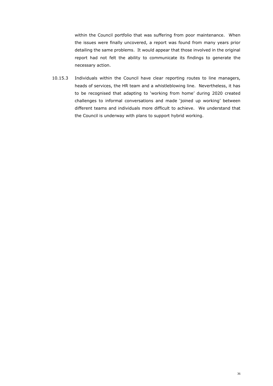within the Council portfolio that was suffering from poor maintenance. When the issues were finally uncovered, a report was found from many years prior detailing the same problems. It would appear that those involved in the original report had not felt the ability to communicate its findings to generate the necessary action.

10.15.3 Individuals within the Council have clear reporting routes to line managers, heads of services, the HR team and a whistleblowing line. Nevertheless, it has to be recognised that adapting to 'working from home' during 2020 created challenges to informal conversations and made 'joined up working' between different teams and individuals more difficult to achieve. We understand that the Council is underway with plans to support hybrid working.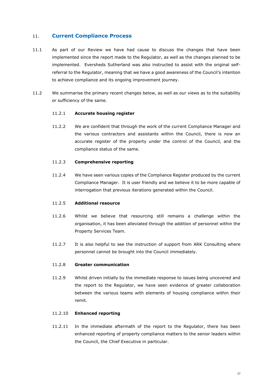## <span id="page-36-0"></span>11. **Current Compliance Process**

- 11.1 As part of our Review we have had cause to discuss the changes that have been implemented since the report made to the Regulator, as well as the changes planned to be implemented. Eversheds Sutherland was also instructed to assist with the original selfreferral to the Regulator, meaning that we have a good awareness of the Council's intention to achieve compliance and its ongoing improvement journey.
- 11.2 We summarise the primary recent changes below, as well as our views as to the suitability or sufficiency of the same.

#### 11.2.1 **Accurate housing register**

11.2.2 We are confident that through the work of the current Compliance Manager and the various contractors and assistants within the Council, there is now an accurate register of the property under the control of the Council, and the compliance status of the same.

#### 11.2.3 **Comprehensive reporting**

11.2.4 We have seen various copies of the Compliance Register produced by the current Compliance Manager. It is user friendly and we believe it to be more capable of interrogation that previous iterations generated within the Council.

#### 11.2.5 **Additional resource**

- 11.2.6 Whilst we believe that resourcing still remains a challenge within the organisation, it has been alleviated through the addition of personnel within the Property Services Team.
- 11.2.7 It is also helpful to see the instruction of support from ARK Consulting where personnel cannot be brought into the Council immediately.

#### 11.2.8 **Greater communication**

11.2.9 Whilst driven initially by the immediate response to issues being uncovered and the report to the Regulator, we have seen evidence of greater collaboration between the various teams with elements of housing compliance within their remit.

#### 11.2.10 **Enhanced reporting**

11.2.11 In the immediate aftermath of the report to the Regulator, there has been enhanced reporting of property compliance matters to the senior leaders within the Council, the Chief Executive in particular.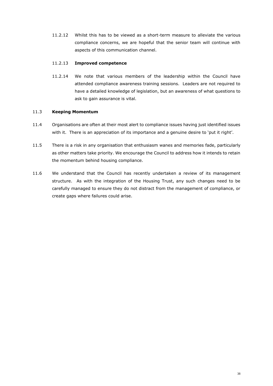11.2.12 Whilst this has to be viewed as a short-term measure to alleviate the various compliance concerns, we are hopeful that the senior team will continue with aspects of this communication channel.

## 11.2.13 **Improved competence**

11.2.14 We note that various members of the leadership within the Council have attended compliance awareness training sessions. Leaders are not required to have a detailed knowledge of legislation, but an awareness of what questions to ask to gain assurance is vital.

## 11.3 **Keeping Momentum**

- 11.4 Organisations are often at their most alert to compliance issues having just identified issues with it. There is an appreciation of its importance and a genuine desire to 'put it right'.
- 11.5 There is a risk in any organisation that enthusiasm wanes and memories fade, particularly as other matters take priority. We encourage the Council to address how it intends to retain the momentum behind housing compliance.
- 11.6 We understand that the Council has recently undertaken a review of its management structure. As with the integration of the Housing Trust, any such changes need to be carefully managed to ensure they do not distract from the management of compliance, or create gaps where failures could arise.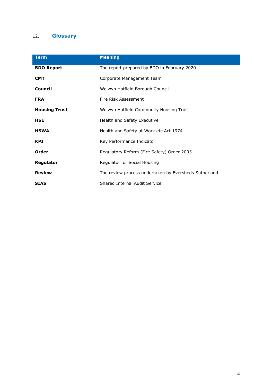## <span id="page-38-0"></span>12. **Glossary**

| <b>Term</b>          | <b>Meaning</b>                                        |
|----------------------|-------------------------------------------------------|
| <b>BDO Report</b>    | The report prepared by BDO in February 2020           |
| <b>CMT</b>           | Corporate Management Team                             |
| <b>Council</b>       | Welwyn Hatfield Borough Council                       |
| <b>FRA</b>           | Fire Risk Assessment                                  |
| <b>Housing Trust</b> | Welwyn Hatfield Community Housing Trust               |
| <b>HSE</b>           | Health and Safety Executive                           |
| <b>HSWA</b>          | Health and Safety at Work etc Act 1974                |
| <b>KPI</b>           | Key Performance Indicator                             |
| Order                | Regulatory Reform (Fire Safety) Order 2005            |
| Regulator            | Regulator for Social Housing                          |
| <b>Review</b>        | The review process undertaken by Eversheds Sutherland |
| <b>SIAS</b>          | Shared Internal Audit Service                         |